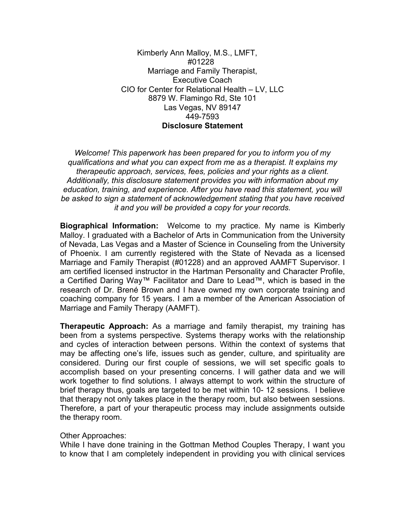Kimberly Ann Malloy, M.S., LMFT, #01228 Marriage and Family Therapist, Executive Coach CIO for Center for Relational Health – LV, LLC 8879 W. Flamingo Rd, Ste 101 Las Vegas, NV 89147 449-7593 **Disclosure Statement**

*Welcome! This paperwork has been prepared for you to inform you of my qualifications and what you can expect from me as a therapist. It explains my therapeutic approach, services, fees, policies and your rights as a client. Additionally, this disclosure statement provides you with information about my education, training, and experience. After you have read this statement, you will be asked to sign a statement of acknowledgement stating that you have received it and you will be provided a copy for your records.*

**Biographical Information:** Welcome to my practice. My name is Kimberly Malloy. I graduated with a Bachelor of Arts in Communication from the University of Nevada, Las Vegas and a Master of Science in Counseling from the University of Phoenix. I am currently registered with the State of Nevada as a licensed Marriage and Family Therapist (#01228) and an approved AAMFT Supervisor. I am certified licensed instructor in the Hartman Personality and Character Profile, a Certified Daring Way™ Facilitator and Dare to Lead™, which is based in the research of Dr. Brené Brown and I have owned my own corporate training and coaching company for 15 years. I am a member of the American Association of Marriage and Family Therapy (AAMFT).

**Therapeutic Approach:** As a marriage and family therapist, my training has been from a systems perspective. Systems therapy works with the relationship and cycles of interaction between persons. Within the context of systems that may be affecting one's life, issues such as gender, culture, and spirituality are considered. During our first couple of sessions, we will set specific goals to accomplish based on your presenting concerns. I will gather data and we will work together to find solutions. I always attempt to work within the structure of brief therapy thus, goals are targeted to be met within 10- 12 sessions. I believe that therapy not only takes place in the therapy room, but also between sessions. Therefore, a part of your therapeutic process may include assignments outside the therapy room.

#### Other Approaches:

While I have done training in the Gottman Method Couples Therapy, I want you to know that I am completely independent in providing you with clinical services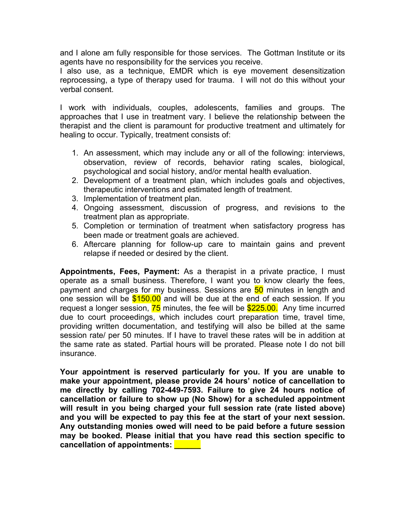and I alone am fully responsible for those services. The Gottman Institute or its agents have no responsibility for the services you receive.

I also use, as a technique, EMDR which is eye movement desensitization reprocessing, a type of therapy used for trauma. I will not do this without your verbal consent.

I work with individuals, couples, adolescents, families and groups. The approaches that I use in treatment vary. I believe the relationship between the therapist and the client is paramount for productive treatment and ultimately for healing to occur. Typically, treatment consists of:

- 1. An assessment, which may include any or all of the following: interviews, observation, review of records, behavior rating scales, biological, psychological and social history, and/or mental health evaluation.
- 2. Development of a treatment plan, which includes goals and objectives, therapeutic interventions and estimated length of treatment.
- 3. Implementation of treatment plan.
- 4. Ongoing assessment, discussion of progress, and revisions to the treatment plan as appropriate.
- 5. Completion or termination of treatment when satisfactory progress has been made or treatment goals are achieved.
- 6. Aftercare planning for follow-up care to maintain gains and prevent relapse if needed or desired by the client.

**Appointments, Fees, Payment:** As a therapist in a private practice, I must operate as a small business. Therefore, I want you to know clearly the fees, payment and charges for my business. Sessions are 50 minutes in length and one session will be  $$150.00$  and will be due at the end of each session. If you request a longer session,  $\frac{75}{5}$  minutes, the fee will be  $\frac{$225.00}{5225.00}$ . Any time incurred due to court proceedings, which includes court preparation time, travel time, providing written documentation, and testifying will also be billed at the same session rate/ per 50 minutes. If I have to travel these rates will be in addition at the same rate as stated. Partial hours will be prorated. Please note I do not bill insurance.

**Your appointment is reserved particularly for you. If you are unable to make your appointment, please provide 24 hours' notice of cancellation to me directly by calling 702-449-7593. Failure to give 24 hours notice of cancellation or failure to show up (No Show) for a scheduled appointment will result in you being charged your full session rate (rate listed above) and you will be expected to pay this fee at the start of your next session. Any outstanding monies owed will need to be paid before a future session may be booked. Please initial that you have read this section specific to cancellation of appointments: \_\_\_\_\_\_**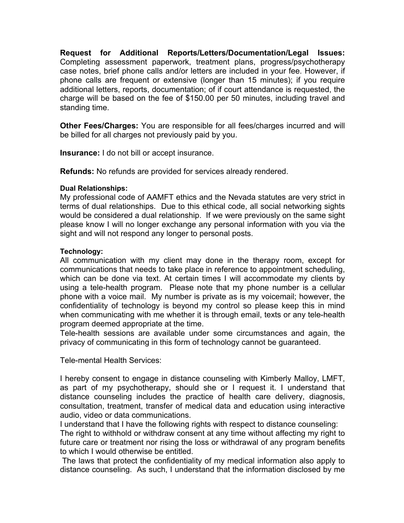**Request for Additional Reports/Letters/Documentation/Legal Issues:** Completing assessment paperwork, treatment plans, progress/psychotherapy case notes, brief phone calls and/or letters are included in your fee. However, if phone calls are frequent or extensive (longer than 15 minutes); if you require additional letters, reports, documentation; of if court attendance is requested, the charge will be based on the fee of \$150.00 per 50 minutes, including travel and standing time.

**Other Fees/Charges:** You are responsible for all fees/charges incurred and will be billed for all charges not previously paid by you.

**Insurance:** I do not bill or accept insurance.

**Refunds:** No refunds are provided for services already rendered.

#### **Dual Relationships:**

My professional code of AAMFT ethics and the Nevada statutes are very strict in terms of dual relationships. Due to this ethical code, all social networking sights would be considered a dual relationship. If we were previously on the same sight please know I will no longer exchange any personal information with you via the sight and will not respond any longer to personal posts.

### **Technology:**

All communication with my client may done in the therapy room, except for communications that needs to take place in reference to appointment scheduling, which can be done via text. At certain times I will accommodate my clients by using a tele-health program. Please note that my phone number is a cellular phone with a voice mail. My number is private as is my voicemail; however, the confidentiality of technology is beyond my control so please keep this in mind when communicating with me whether it is through email, texts or any tele-health program deemed appropriate at the time.

Tele-health sessions are available under some circumstances and again, the privacy of communicating in this form of technology cannot be guaranteed.

Tele-mental Health Services:

I hereby consent to engage in distance counseling with Kimberly Malloy, LMFT, as part of my psychotherapy, should she or I request it. I understand that distance counseling includes the practice of health care delivery, diagnosis, consultation, treatment, transfer of medical data and education using interactive audio, video or data communications.

I understand that I have the following rights with respect to distance counseling: The right to withhold or withdraw consent at any time without affecting my right to future care or treatment nor rising the loss or withdrawal of any program benefits to which I would otherwise be entitled.

The laws that protect the confidentiality of my medical information also apply to distance counseling. As such, I understand that the information disclosed by me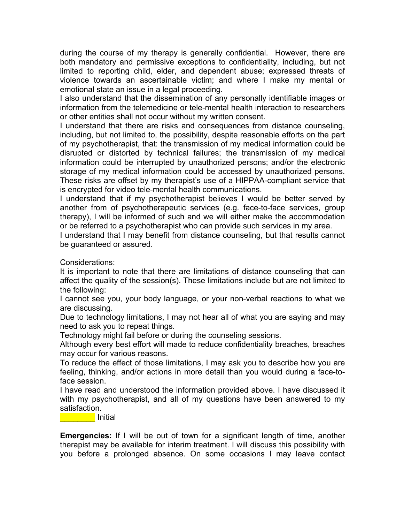during the course of my therapy is generally confidential. However, there are both mandatory and permissive exceptions to confidentiality, including, but not limited to reporting child, elder, and dependent abuse; expressed threats of violence towards an ascertainable victim; and where I make my mental or emotional state an issue in a legal proceeding.

I also understand that the dissemination of any personally identifiable images or information from the telemedicine or tele-mental health interaction to researchers or other entities shall not occur without my written consent.

I understand that there are risks and consequences from distance counseling, including, but not limited to, the possibility, despite reasonable efforts on the part of my psychotherapist, that: the transmission of my medical information could be disrupted or distorted by technical failures; the transmission of my medical information could be interrupted by unauthorized persons; and/or the electronic storage of my medical information could be accessed by unauthorized persons. These risks are offset by my therapist's use of a HIPPAA-compliant service that is encrypted for video tele-mental health communications.

I understand that if my psychotherapist believes I would be better served by another from of psychotherapeutic services (e.g. face-to-face services, group therapy), I will be informed of such and we will either make the accommodation or be referred to a psychotherapist who can provide such services in my area.

I understand that I may benefit from distance counseling, but that results cannot be guaranteed or assured.

Considerations:

It is important to note that there are limitations of distance counseling that can affect the quality of the session(s). These limitations include but are not limited to the following:

I cannot see you, your body language, or your non-verbal reactions to what we are discussing.

Due to technology limitations, I may not hear all of what you are saying and may need to ask you to repeat things.

Technology might fail before or during the counseling sessions.

Although every best effort will made to reduce confidentiality breaches, breaches may occur for various reasons.

To reduce the effect of those limitations, I may ask you to describe how you are feeling, thinking, and/or actions in more detail than you would during a face-toface session.

I have read and understood the information provided above. I have discussed it with my psychotherapist, and all of my questions have been answered to my satisfaction.

\_\_\_\_\_\_\_\_ Initial

**Emergencies:** If I will be out of town for a significant length of time, another therapist may be available for interim treatment. I will discuss this possibility with you before a prolonged absence. On some occasions I may leave contact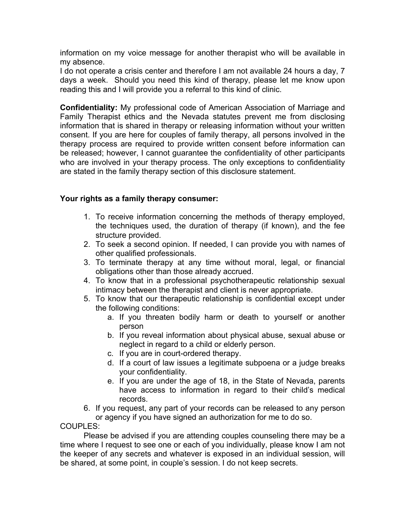information on my voice message for another therapist who will be available in my absence.

I do not operate a crisis center and therefore I am not available 24 hours a day, 7 days a week. Should you need this kind of therapy, please let me know upon reading this and I will provide you a referral to this kind of clinic.

**Confidentiality:** My professional code of American Association of Marriage and Family Therapist ethics and the Nevada statutes prevent me from disclosing information that is shared in therapy or releasing information without your written consent. If you are here for couples of family therapy, all persons involved in the therapy process are required to provide written consent before information can be released; however, I cannot guarantee the confidentiality of other participants who are involved in your therapy process. The only exceptions to confidentiality are stated in the family therapy section of this disclosure statement.

## **Your rights as a family therapy consumer:**

- 1. To receive information concerning the methods of therapy employed, the techniques used, the duration of therapy (if known), and the fee structure provided.
- 2. To seek a second opinion. If needed, I can provide you with names of other qualified professionals.
- 3. To terminate therapy at any time without moral, legal, or financial obligations other than those already accrued.
- 4. To know that in a professional psychotherapeutic relationship sexual intimacy between the therapist and client is never appropriate.
- 5. To know that our therapeutic relationship is confidential except under the following conditions:
	- a. If you threaten bodily harm or death to yourself or another person
	- b. If you reveal information about physical abuse, sexual abuse or neglect in regard to a child or elderly person.
	- c. If you are in court-ordered therapy.
	- d. If a court of law issues a legitimate subpoena or a judge breaks your confidentiality.
	- e. If you are under the age of 18, in the State of Nevada, parents have access to information in regard to their child's medical records.
- 6. If you request, any part of your records can be released to any person or agency if you have signed an authorization for me to do so.

COUPLES:

Please be advised if you are attending couples counseling there may be a time where I request to see one or each of you individually, please know I am not the keeper of any secrets and whatever is exposed in an individual session, will be shared, at some point, in couple's session. I do not keep secrets.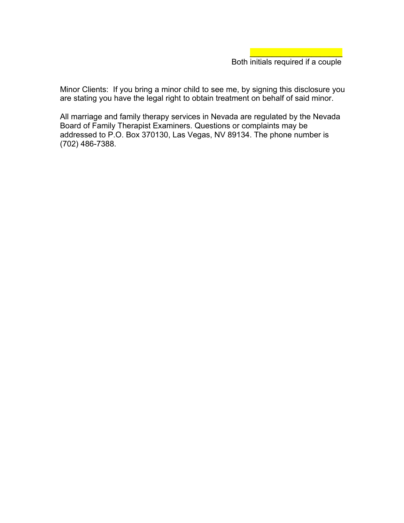$\mathcal{L}=\{1,2,3,4,5\}$ 

Minor Clients: If you bring a minor child to see me, by signing this disclosure you are stating you have the legal right to obtain treatment on behalf of said minor.

All marriage and family therapy services in Nevada are regulated by the Nevada Board of Family Therapist Examiners. Questions or complaints may be addressed to P.O. Box 370130, Las Vegas, NV 89134. The phone number is (702) 486-7388.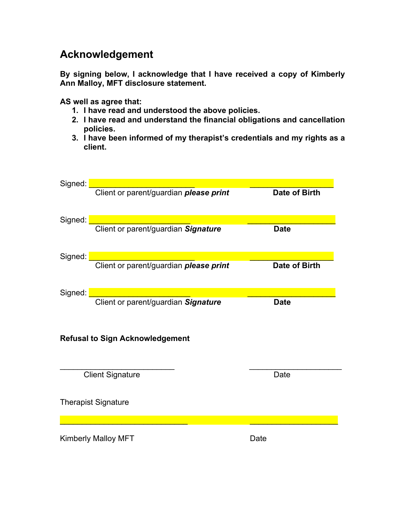# **Acknowledgement**

**By signing below, I acknowledge that I have received a copy of Kimberly Ann Malloy, MFT disclosure statement.** 

**AS well as agree that:**

- **1. I have read and understood the above policies.**
- **2. I have read and understand the financial obligations and cancellation policies.**
- **3. I have been informed of my therapist's credentials and my rights as a client.**

| Signed:                                |                                        |               |
|----------------------------------------|----------------------------------------|---------------|
|                                        | Client or parent/guardian please print | Date of Birth |
| Signed:                                |                                        |               |
|                                        | Client or parent/guardian Signature    | <b>Date</b>   |
| Signed:                                |                                        |               |
|                                        | Client or parent/guardian please print | Date of Birth |
| Signed:                                |                                        |               |
|                                        | Client or parent/guardian Signature    | <b>Date</b>   |
| <b>Refusal to Sign Acknowledgement</b> |                                        |               |
|                                        | <b>Client Signature</b>                | Date          |
| <b>Therapist Signature</b>             |                                        |               |
|                                        |                                        |               |
| <b>Kimberly Malloy MFT</b>             |                                        | Date          |